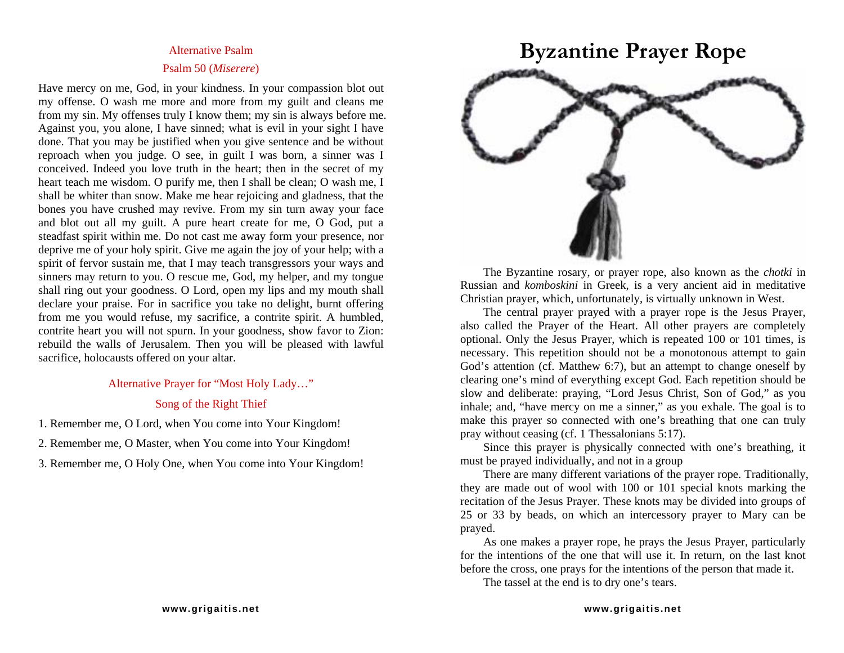## **Alternative Psalm** Psal m 50 (*Miserere*)

Have mercy on me, God, in your kindness. In y our c o mpassion blot out m y offense. O wash me m ore and m ore from m y guilt and cleans me from m y sin. My offenses truly I know the m; m y sin is always before me. Against y ou, you alone, I have sinned; what is evil in your sight I have done. That you may be justified when you give sentence and be without reproach when y ou judge. O see, in guilt I was born, a sinner was I conceived. Indeed you l ove truth in t he heart; then i n the secret of my heart teach me wisdom. O purify me, then I shall be clean; O was h me, I shall be whiter than snow. Make me hear rejoicing and gladness, that the bones you have crushed may revive. From my sin turn away your face and blot out all my guilt. A pure heart create for me, O God, put a steadfast spirit within me. Do not cast me away form your presence, nor deprive me of your h oly spirit. Give me again the jo y of your help; with a spirit of fervor sustain me, that I may teach transgressors your ways and sinners may return to you. O rescue me, God, my helper, and my tongue shall ring out your goodness. O Lord, open my lips and my mouth shall declare your praise. For in sacrifice y ou take no delight, burnt offering from me you would refuse, m y sacrifice, a contrite spirit. A humbled, contrite heart you will not spurn. In your goodness, show favor to Zion: rebuild the walls of Jerusalem. Then you will be pleased with lawful sacrifice, holocausts offered on your altar.

> Alternative Prayer for "Most Holy Lady…" Song of the Right Thief

1. Remember me, O Lord, when You come into Your Kingdom!

2. Remember me, O Master, when You co

3. Remember me, O Holy One, when You come into Your Kingdom! The must be prayed individually, and not in a group

## Alternative Psalm **Byzantine Prayer Rope**



The Byzantine rosary, or prayer rope, also known as the *chotki* in Russian and *komboskini* in Greek, is a very ancient aid in meditative Christian prayer, which, unfortunately, is virtually unknown in West.

The central prayer pra yed with a prayer rope is the Jesus Prayer, also called t he Prayer of the Heart. All other prayers are completely optional. Only the Jesus Prayer, which is repeated 100 or 101 times, is necessary. T his repetition should not be a monotonous attempt to gain God's attention (cf. Matthew 6:7), but an atte mpt to change oneself by clearing one's mind of everything except God. Each repetition should be slow and deliberate: praying, "Lord Jesus Christ, Son of God," as y ou inhale; and, " have mercy on me a sinner," as y ou exhale. The goal is to make this prayer so connected with one's breathing that one can truly pray without ceasing (cf. 1 Thessalonians 5:17).

Since this prayer is physically connected with one's breathing, it must be prayed individually, and n ot in

There are man y different variations of t he pra yer ro pe. Traditionally, they are made out of wool with 100 or 101 special knots marking the recitation of the Jesus Prayer. These knots may be divided into groups of 25 or 33 by beads, on which an intercessory prayer to Mary can be prayed.

As one makes a pra yer rope, he pra ys the Jesus Prayer, particularly for the intentions of the one that will use it. In return, on t he last knot before the cross, one prays for the intentions of the person that made it.

The tassel at t he end is to dry one's tears.